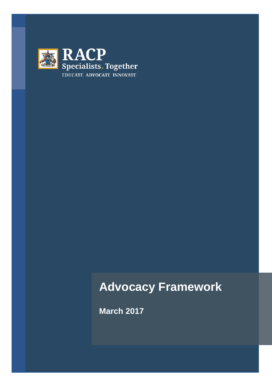

# **Advocacy Framework**

**March 2017**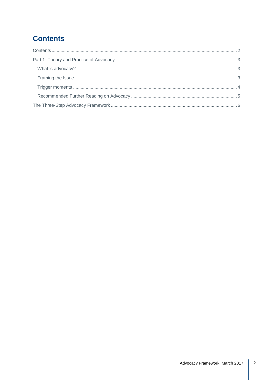# <span id="page-1-0"></span>**Contents**

<span id="page-1-1"></span>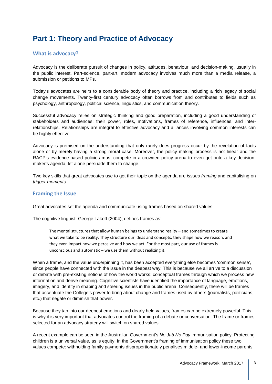## **Part 1: Theory and Practice of Advocacy**

#### <span id="page-2-0"></span>**What is advocacy?**

Advocacy is the deliberate pursuit of changes in policy, attitudes, behaviour, and decision-making, usually in the public interest. Part-science, part-art, modern advocacy involves much more than a media release, a submission or petitions to MPs.

Today's advocates are heirs to a considerable body of theory and practice, including a rich legacy of social change movements. Twenty-first century advocacy often borrows from and contributes to fields such as psychology, anthropology, political science, linguistics, and communication theory.

Successful advocacy relies on strategic thinking and good preparation, including a good understanding of stakeholders and audiences; their power, roles, motivations, frames of reference, influences, and interrelationships. Relationships are integral to effective advocacy and alliances involving common interests can be highly effective.

Advocacy is premised on the understanding that only rarely does progress occur by the revelation of facts alone or by merely having a strong moral case. Moreover, the policy making process is not linear and the RACP's evidence-based policies must compete in a crowded policy arena to even get onto a key decisionmaker's agenda, let alone persuade them to change.

Two key skills that great advocates use to get their topic on the agenda are *issues framing* and capitalising on *trigger moments*.

#### <span id="page-2-1"></span>**Framing the Issue**

Great advocates set the agenda and communicate using frames based on shared values.

The cognitive linguist, George Lakoff (2004), defines frames as:

The mental structures that allow human beings to understand reality – and sometimes to create what we take to be reality. They structure our ideas and concepts, they shape how we reason, and they even impact how we perceive and how we act. For the most part, our use of frames is unconscious and automatic – we use them without realizing it.

When a frame, and the value underpinning it, has been accepted everything else becomes 'common sense', since people have connected with the issue in the deepest way. This is because we all arrive to a discussion or debate with pre-existing notions of how the world works: conceptual frames through which we process new information and derive meaning. Cognitive scientists have identified the importance of language, emotions, imagery, and identity in shaping and steering issues in the public arena. Consequently, there will be frames that accentuate the College's power to bring about change and frames used by others (journalists, politicians, etc.) that negate or diminish that power.

Because they tap into our deepest emotions and dearly held values, frames can be extremely powerful. This is why it is very important that advocates control the framing of a debate or conversation. The frame or frames selected for an advocacy strategy will switch on shared values.

A recent example can be seen in the Australian Government's *No Jab No Pay* immunisation policy. Protecting children is a universal value, as is equity. In the Government's framing of immunisation policy these two values compete: withholding family payments disproportionately penalises middle- and lower-income parents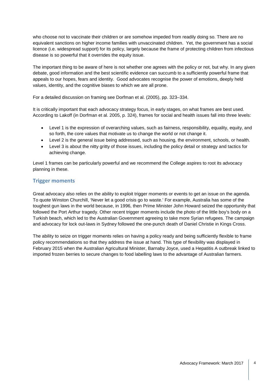who choose not to vaccinate their children or are somehow impeded from readily doing so. There are no equivalent sanctions on higher income families with unvaccinated children. Yet, the government has a social licence (i.e. widespread support) for its policy, largely because the frame of protecting children from infectious disease is so powerful that it overrides the equity issue.

The important thing to be aware of here is not whether one agrees with the policy or not, but why. In any given debate, good information and the best scientific evidence can succumb to a sufficiently powerful frame that appeals to our hopes, fears and identity. Good advocates recognise the power of emotions, deeply held values, identity, and the cognitive biases to which we are all prone.

For a detailed discussion on framing see Dorfman et al. (2005), pp. 323–334.

It is critically important that each advocacy strategy focus, in early stages, on what frames are best used. According to Lakoff (in Dorfman et al. 2005, p. 324), frames for social and health issues fall into three levels:

- Level 1 is the expression of overarching values, such as fairness, responsibility, equality, equity, and so forth, the core values that motivate us to change the world or not change it.
- Level 2 is the general issue being addressed, such as housing, the environment, schools, or health.
- Level 3 is about the nitty gritty of those issues, including the policy detail or strategy and tactics for achieving change.

Level 1 frames can be particularly powerful and we recommend the College aspires to root its advocacy planning in these.

#### <span id="page-3-0"></span>**Trigger moments**

Great advocacy also relies on the ability to exploit trigger moments or events to get an issue on the agenda. To quote Winston Churchill, 'Never let a good crisis go to waste.' For example, Australia has some of the toughest gun laws in the world because, in 1996, then Prime Minister John Howard seized the opportunity that followed the Port Arthur tragedy. Other recent trigger moments include the photo of the little boy's body on a Turkish beach, which led to the Australian Government agreeing to take more Syrian refugees. The campaign and advocacy for lock out-laws in Sydney followed the one-punch death of Daniel Christie in Kings Cross.

The ability to seize on trigger moments relies on having a policy ready and being sufficiently flexible to frame policy recommendations so that they address the issue at hand. This type of flexibility was displayed in February 2015 when the Australian Agricultural Minister, Barnaby Joyce, used a Hepatitis A outbreak linked to imported frozen berries to secure changes to food labelling laws to the advantage of Australian farmers.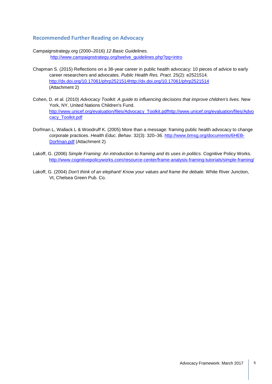#### <span id="page-4-0"></span>**Recommended Further Reading on Advocacy**

- Campaignstrategy.org (2000–2016) *12 Basic Guidelines.* [http://www.campaignstrategy.org/twelve\\_guidelines.php?pg=intro](http://www.campaignstrategy.org/twelve_guidelines.php?pg=intro)
- Chapman S. (2015) Reflections on a 38-year career in public health advocacy: 10 pieces of advice to early career researchers and advocates. *Public Health Res. Pract.* 25(2): e2521514. [http://dx.doi.org/10.17061/phrp2521514http://dx.doi.org/10.17061/phrp2521514](http://dx.doi.org/10.17061/phrp2521514) (Attachment 2)
- Cohen, D. et al. (2010) *Advocacy Toolkit: A guide to influencing decisions that improve children's lives.* New York, NY, United Nations Children's Fund. [http://www.unicef.org/evaluation/files/Advocacy\\_Toolkit.pdfhttp://www.unicef.org/evaluation/files/Advo](http://www.unicef.org/evaluation/files/Advocacy_Toolkit.pdf) [cacy\\_Toolkit.pdf](http://www.unicef.org/evaluation/files/Advocacy_Toolkit.pdf)
- Dorfman L, Wallack L & Woodruff K. (2005) More than a message: framing public health advocacy to change corporate practices. *Health Educ. Behav.* 32(3): 320–36. [http://www.bmsg.org/documents/6HEB-](http://www.bmsg.org/documents/6HEB-Dorfman.pdf)[Dorfman.pdf](http://www.bmsg.org/documents/6HEB-Dorfman.pdf) (Attachment 2)
- Lakoff, G. (2006) *Simple Framing: An introduction to framing and its uses in politics.* Cognitive Policy Works. <http://www.cognitivepolicyworks.com/resource-center/frame-analysis-framing-tutorials/simple-framing/>
- Lakoff, G. (2004) *Don't think of an elephant! Know your values and frame the debate.* White River Junction, Vt, Chelsea Green Pub. Co.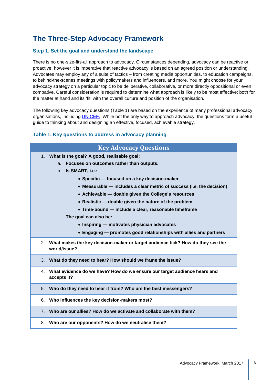### <span id="page-5-0"></span>**The Three-Step Advocacy Framework**

#### **Step 1. Set the goal and understand the landscape**

There is no one-size-fits-all approach to advocacy. Circumstances depending, advocacy can be reactive or proactive; however it is imperative that reactive advocacy is based on an agreed position or understanding. Advocates may employ any of a suite of tactics – from creating media opportunities, to education campaigns, to behind-the-scenes meetings with policymakers and influencers, and more. You might choose for your advocacy strategy on a particular topic to be deliberative, collaborative, or more directly oppositional or even combative. Careful consideration is required to determine what approach is likely to be most effective; both for the matter at hand and its 'fit' with the overall culture and position of the organisation.

The following key advocacy questions (Table 1) are based on the experience of many professional advocacy organisations, including [UNICEF.](http://www.unicef.org/evaluation/files/Advocacy_Toolkit.pdf) While not the only way to approach advocacy, the questions form a useful guide to thinking about and designing an effective, focused, achievable strategy.

#### **Table 1. Key questions to address in advocacy planning**

| <b>Key Advocacy Questions</b> |                                                                                                   |  |  |  |
|-------------------------------|---------------------------------------------------------------------------------------------------|--|--|--|
|                               | 1. What is the goal? A good, realisable goal:                                                     |  |  |  |
|                               | Focuses on outcomes rather than outputs.<br>a.                                                    |  |  |  |
|                               | $b_{-}$<br>Is SMART, i.e.:                                                                        |  |  |  |
|                               | • Specific - focused on a key decision-maker                                                      |  |  |  |
|                               | • Measurable — includes a clear metric of success (i.e. the decision)                             |  |  |  |
|                               | • Achievable - doable given the College's resources                                               |  |  |  |
|                               | • Realistic - doable given the nature of the problem                                              |  |  |  |
|                               | • Time-bound — include a clear, reasonable timeframe                                              |  |  |  |
|                               | The goal can also be:                                                                             |  |  |  |
|                               | • Inspiring — motivates physician advocates                                                       |  |  |  |
|                               | • Engaging – promotes good relationships with allies and partners                                 |  |  |  |
|                               | 2. What makes the key decision-maker or target audience tick? How do they see the<br>world/issue? |  |  |  |
|                               | 3. What do they need to hear? How should we frame the issue?                                      |  |  |  |
|                               | 4. What evidence do we have? How do we ensure our target audience hears and<br>accepts it?        |  |  |  |
| 5.                            | Who do they need to hear it from? Who are the best messengers?                                    |  |  |  |
| 6.                            | Who influences the key decision-makers most?                                                      |  |  |  |
|                               | 7. Who are our allies? How do we activate and collaborate with them?                              |  |  |  |

8. **Who are our opponents? How do we neutralise them?**